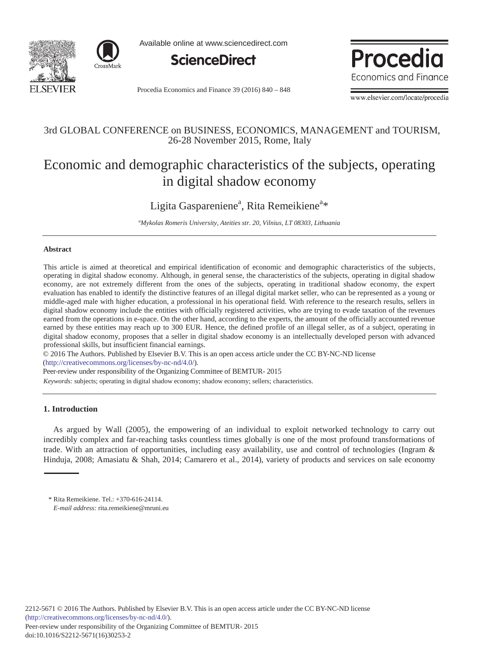



Available online at www.sciencedirect.com



Procedia Economics and Finance 39 (2016) 840 - 848



www.elsevier.com/locate/procedia

### 3rd GLOBAL CONFERENCE on BUSINESS, ECONOMICS, MANAGEMENT and TOURISM, 26-28 November 2015, Rome, Italy

# Economic and demographic characteristics of the subjects, operating in digital shadow economy

## Ligita Gaspareniene<sup>a</sup>, Rita Remeikiene<sup>a\*</sup>

*a Mykolas Romeris University, Ateities str. 20, Vilnius, LT 08303, Lithuania* 

#### **Abstract**

This article is aimed at theoretical and empirical identification of economic and demographic characteristics of the subjects, operating in digital shadow economy. Although, in general sense, the characteristics of the subjects, operating in digital shadow economy, are not extremely different from the ones of the subjects, operating in traditional shadow economy, the expert evaluation has enabled to identify the distinctive features of an illegal digital market seller, who can be represented as a young or middle-aged male with higher education, a professional in his operational field. With reference to the research results, sellers in digital shadow economy include the entities with officially registered activities, who are trying to evade taxation of the revenues earned from the operations in e-space. On the other hand, according to the experts, the amount of the officially accounted revenue earned by these entities may reach up to 300 EUR. Hence, the defined profile of an illegal seller, as of a subject, operating in digital shadow economy, proposes that a seller in digital shadow economy is an intellectually developed person with advanced professional skills, but insufficient financial earnings.

© 2016 The Authors. Published by Elsevier B.V. © 2016 The Authors. Published by Elsevier B.V. This is an open access article under the CC BY-NC-ND license (http://creativecommons.org/licenses/by-nc-nd/4.0/).

Peer-review under responsibility of the Organizing Committee of BEMTUR- 2015

*Keywords:* subjects; operating in digital shadow economy; shadow economy; sellers; characteristics.

#### **1. Introduction**

As argued by Wall (2005), the empowering of an individual to exploit networked technology to carry out incredibly complex and far-reaching tasks countless times globally is one of the most profound transformations of trade. With an attraction of opportunities, including easy availability, use and control of technologies (Ingram & Hinduja, 2008; Amasiatu & Shah, 2014; Camarero et al., 2014), variety of products and services on sale economy

<sup>\*</sup> Rita Remeikiene. Tel.: +370-616-24114. *E-mail address:* rita.remeikiene@mruni.eu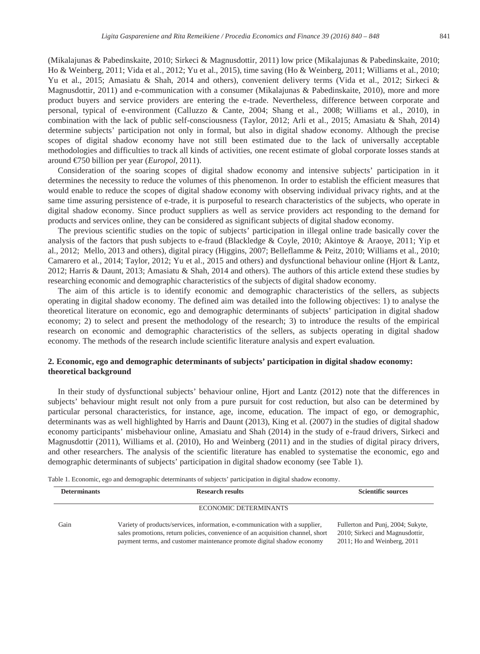(Mikalajunas & Pabedinskaite, 2010; Sirkeci & Magnusdottir, 2011) low price (Mikalajunas & Pabedinskaite, 2010; Ho & Weinberg, 2011; Vida et al., 2012; Yu et al., 2015), time saving (Ho & Weinberg, 2011; Williams et al., 2010; Yu et al., 2015; Amasiatu & Shah, 2014 and others), convenient delivery terms (Vida et al., 2012; Sirkeci & Magnusdottir, 2011) and e-communication with a consumer (Mikalajunas & Pabedinskaite, 2010), more and more product buyers and service providers are entering the e-trade. Nevertheless, difference between corporate and personal, typical of e-environment (Calluzzo & Cante, 2004; Shang et al., 2008; Williams et al., 2010), in combination with the lack of public self-consciousness (Taylor, 2012; Arli et al., 2015; Amasiatu & Shah, 2014) determine subjects' participation not only in formal, but also in digital shadow economy. Although the precise scopes of digital shadow economy have not still been estimated due to the lack of universally acceptable methodologies and difficulties to track all kinds of activities, one recent estimate of global corporate losses stands at around €750 billion per year (*Europol,* 2011).

Consideration of the soaring scopes of digital shadow economy and intensive subjects' participation in it determines the necessity to reduce the volumes of this phenomenon. In order to establish the efficient measures that would enable to reduce the scopes of digital shadow economy with observing individual privacy rights, and at the same time assuring persistence of e-trade, it is purposeful to research characteristics of the subjects, who operate in digital shadow economy. Since product suppliers as well as service providers act responding to the demand for products and services online, they can be considered as significant subjects of digital shadow economy.

The previous scientific studies on the topic of subjects' participation in illegal online trade basically cover the analysis of the factors that push subjects to e-fraud (Blackledge & Coyle, 2010; Akintoye & Araoye, 2011; Yip et al., 2012; Mello, 2013 and others), digital piracy (Higgins, 2007; Belleflamme & Peitz, 2010; Williams et al., 2010; Camarero et al., 2014; Taylor, 2012; Yu et al., 2015 and others) and dysfunctional behaviour online (Hjort & Lantz, 2012; Harris & Daunt, 2013; Amasiatu & Shah, 2014 and others). The authors of this article extend these studies by researching economic and demographic characteristics of the subjects of digital shadow economy.

The aim of this article is to identify economic and demographic characteristics of the sellers, as subjects operating in digital shadow economy. The defined aim was detailed into the following objectives: 1) to analyse the theoretical literature on economic, ego and demographic determinants of subjects' participation in digital shadow economy; 2) to select and present the methodology of the research; 3) to introduce the results of the empirical research on economic and demographic characteristics of the sellers, as subjects operating in digital shadow economy. The methods of the research include scientific literature analysis and expert evaluation.

#### **2. Economic, ego and demographic determinants of subjects' participation in digital shadow economy: theoretical background**

In their study of dysfunctional subjects' behaviour online, Hjort and Lantz (2012) note that the differences in subjects' behaviour might result not only from a pure pursuit for cost reduction, but also can be determined by particular personal characteristics, for instance, age, income, education. The impact of ego, or demographic, determinants was as well highlighted by Harris and Daunt (2013), King et al. (2007) in the studies of digital shadow economy participants' misbehaviour online, Amasiatu and Shah (2014) in the study of e-fraud drivers, Sirkeci and Magnusdottir (2011), Williams et al. (2010), Ho and Weinberg (2011) and in the studies of digital piracy drivers, and other researchers. The analysis of the scientific literature has enabled to systematise the economic, ego and demographic determinants of subjects' participation in digital shadow economy (see Table 1).

|  |  |  |  |  |  |  |  | Table 1. Economic, ego and demographic determinants of subjects' participation in digital shadow economy. |  |
|--|--|--|--|--|--|--|--|-----------------------------------------------------------------------------------------------------------|--|
|--|--|--|--|--|--|--|--|-----------------------------------------------------------------------------------------------------------|--|

| <b>Determinants</b> | <b>Research results</b>                                                                                                                                                                                                                  | <b>Scientific sources</b>                                                                           |
|---------------------|------------------------------------------------------------------------------------------------------------------------------------------------------------------------------------------------------------------------------------------|-----------------------------------------------------------------------------------------------------|
|                     | <b>ECONOMIC DETERMINANTS</b>                                                                                                                                                                                                             |                                                                                                     |
| Gain                | Variety of products/services, information, e-communication with a supplier,<br>sales promotions, return policies, convenience of an acquisition channel, short<br>payment terms, and customer maintenance promote digital shadow economy | Fullerton and Punj, 2004; Sukyte,<br>2010; Sirkeci and Magnusdottir,<br>2011; Ho and Weinberg, 2011 |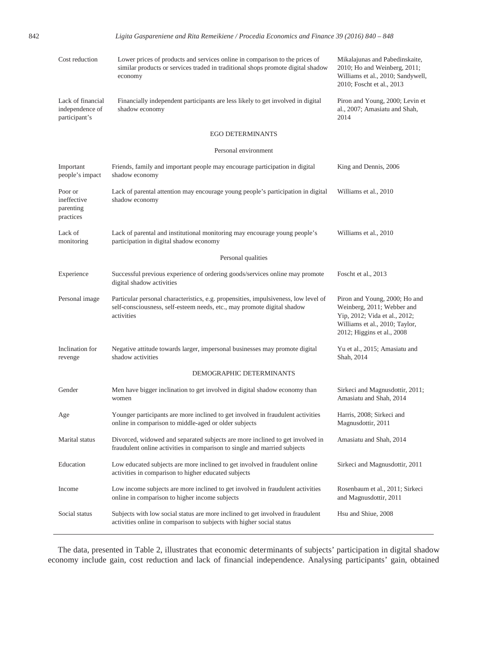842 *Ligita Gaspareniene and Rita Remeikiene / Procedia Economics and Finance 39 ( 2016 ) 840 – 848* 

| Cost reduction                                        | Lower prices of products and services online in comparison to the prices of<br>similar products or services traded in traditional shops promote digital shadow<br>economy    | Mikalajunas and Pabedinskaite,<br>2010; Ho and Weinberg, 2011;<br>Williams et al., 2010; Sandywell,<br>2010; Foscht et al., 2013                             |  |  |  |  |  |
|-------------------------------------------------------|------------------------------------------------------------------------------------------------------------------------------------------------------------------------------|--------------------------------------------------------------------------------------------------------------------------------------------------------------|--|--|--|--|--|
| Lack of financial<br>independence of<br>participant's | Financially independent participants are less likely to get involved in digital<br>shadow economy                                                                            | Piron and Young, 2000; Levin et<br>al., 2007; Amasiatu and Shah,<br>2014                                                                                     |  |  |  |  |  |
|                                                       | <b>EGO DETERMINANTS</b>                                                                                                                                                      |                                                                                                                                                              |  |  |  |  |  |
| Personal environment                                  |                                                                                                                                                                              |                                                                                                                                                              |  |  |  |  |  |
| Important<br>people's impact                          | Friends, family and important people may encourage participation in digital<br>shadow economy                                                                                | King and Dennis, 2006                                                                                                                                        |  |  |  |  |  |
| Poor or<br>ineffective<br>parenting<br>practices      | Lack of parental attention may encourage young people's participation in digital<br>shadow economy                                                                           | Williams et al., 2010                                                                                                                                        |  |  |  |  |  |
| Lack of<br>monitoring                                 | Lack of parental and institutional monitoring may encourage young people's<br>participation in digital shadow economy                                                        | Williams et al., 2010                                                                                                                                        |  |  |  |  |  |
| Personal qualities                                    |                                                                                                                                                                              |                                                                                                                                                              |  |  |  |  |  |
| Experience                                            | Successful previous experience of ordering goods/services online may promote<br>digital shadow activities                                                                    | Foscht et al., 2013                                                                                                                                          |  |  |  |  |  |
| Personal image                                        | Particular personal characteristics, e.g. propensities, impulsiveness, low level of<br>self-consciousness, self-esteem needs, etc., may promote digital shadow<br>activities | Piron and Young, 2000; Ho and<br>Weinberg, 2011; Webber and<br>Yip, 2012; Vida et al., 2012;<br>Williams et al., 2010; Taylor,<br>2012; Higgins et al., 2008 |  |  |  |  |  |
| Inclination for<br>revenge                            | Negative attitude towards larger, impersonal businesses may promote digital<br>shadow activities                                                                             | Yu et al., 2015; Amasiatu and<br>Shah, 2014                                                                                                                  |  |  |  |  |  |
|                                                       | DEMOGRAPHIC DETERMINANTS                                                                                                                                                     |                                                                                                                                                              |  |  |  |  |  |
| Gender                                                | Men have bigger inclination to get involved in digital shadow economy than<br>women                                                                                          | Sirkeci and Magnusdottir, 2011;<br>Amasiatu and Shah, 2014                                                                                                   |  |  |  |  |  |
| Age                                                   | Younger participants are more inclined to get involved in fraudulent activities<br>online in comparison to middle-aged or older subjects                                     | Harris, 2008; Sirkeci and<br>Magnusdottir, 2011                                                                                                              |  |  |  |  |  |
| Marital status                                        | Divorced, widowed and separated subjects are more inclined to get involved in<br>fraudulent online activities in comparison to single and married subjects                   | Amasiatu and Shah, 2014                                                                                                                                      |  |  |  |  |  |
| Education                                             | Low educated subjects are more inclined to get involved in fraudulent online<br>activities in comparison to higher educated subjects                                         | Sirkeci and Magnusdottir, 2011                                                                                                                               |  |  |  |  |  |
| Income                                                | Low income subjects are more inclined to get involved in fraudulent activities<br>online in comparison to higher income subjects                                             | Rosenbaum et al., 2011; Sirkeci<br>and Magnusdottir, 2011                                                                                                    |  |  |  |  |  |
| Social status                                         | Subjects with low social status are more inclined to get involved in fraudulent<br>activities online in comparison to subjects with higher social status                     | Hsu and Shiue, 2008                                                                                                                                          |  |  |  |  |  |

The data, presented in Table 2, illustrates that economic determinants of subjects' participation in digital shadow economy include gain, cost reduction and lack of financial independence. Analysing participants' gain, obtained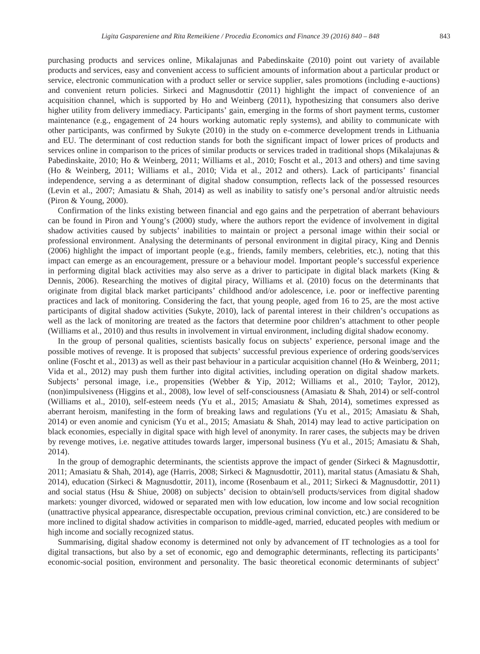purchasing products and services online, Mikalajunas and Pabedinskaite (2010) point out variety of available products and services, easy and convenient access to sufficient amounts of information about a particular product or service, electronic communication with a product seller or service supplier, sales promotions (including e-auctions) and convenient return policies. Sirkeci and Magnusdottir (2011) highlight the impact of convenience of an acquisition channel, which is supported by Ho and Weinberg (2011), hypothesizing that consumers also derive higher utility from delivery immediacy. Participants' gain, emerging in the forms of short payment terms, customer maintenance (e.g., engagement of 24 hours working automatic reply systems), and ability to communicate with other participants, was confirmed by Sukyte (2010) in the study on e-commerce development trends in Lithuania and EU. The determinant of cost reduction stands for both the significant impact of lower prices of products and services online in comparison to the prices of similar products or services traded in traditional shops (Mikalajunas & Pabedinskaite, 2010; Ho & Weinberg, 2011; Williams et al., 2010; Foscht et al., 2013 and others) and time saving (Ho & Weinberg, 2011; Williams et al., 2010; Vida et al., 2012 and others). Lack of participants' financial independence, serving a as determinant of digital shadow consumption, reflects lack of the possessed resources (Levin et al., 2007; Amasiatu & Shah, 2014) as well as inability to satisfy one's personal and/or altruistic needs (Piron & Young, 2000).

Confirmation of the links existing between financial and ego gains and the perpetration of aberrant behaviours can be found in Piron and Young's (2000) study, where the authors report the evidence of involvement in digital shadow activities caused by subjects' inabilities to maintain or project a personal image within their social or professional environment. Analysing the determinants of personal environment in digital piracy, King and Dennis (2006) highlight the impact of important people (e.g., friends, family members, celebrities, etc.), noting that this impact can emerge as an encouragement, pressure or a behaviour model. Important people's successful experience in performing digital black activities may also serve as a driver to participate in digital black markets (King & Dennis, 2006). Researching the motives of digital piracy, Williams et al. (2010) focus on the determinants that originate from digital black market participants' childhood and/or adolescence, i.e. poor or ineffective parenting practices and lack of monitoring. Considering the fact, that young people, aged from 16 to 25, are the most active participants of digital shadow activities (Sukyte, 2010), lack of parental interest in their children's occupations as well as the lack of monitoring are treated as the factors that determine poor children's attachment to other people (Williams et al., 2010) and thus results in involvement in virtual environment, including digital shadow economy.

In the group of personal qualities, scientists basically focus on subjects' experience, personal image and the possible motives of revenge. It is proposed that subjects' successful previous experience of ordering goods/services online (Foscht et al., 2013) as well as their past behaviour in a particular acquisition channel (Ho & Weinberg, 2011; Vida et al., 2012) may push them further into digital activities, including operation on digital shadow markets. Subjects' personal image, i.e., propensities (Webber & Yip, 2012; Williams et al., 2010; Taylor, 2012), (non)impulsiveness (Higgins et al., 2008), low level of self-consciousness (Amasiatu & Shah, 2014) or self-control (Williams et al., 2010), self-esteem needs (Yu et al., 2015; Amasiatu & Shah, 2014), sometimes expressed as aberrant heroism, manifesting in the form of breaking laws and regulations (Yu et al., 2015; Amasiatu & Shah, 2014) or even anomie and cynicism (Yu et al., 2015; Amasiatu & Shah, 2014) may lead to active participation on black economies, especially in digital space with high level of anonymity. In rarer cases, the subjects may be driven by revenge motives, i.e. negative attitudes towards larger, impersonal business (Yu et al., 2015; Amasiatu & Shah, 2014).

In the group of demographic determinants, the scientists approve the impact of gender (Sirkeci & Magnusdottir, 2011; Amasiatu & Shah, 2014), age (Harris, 2008; Sirkeci & Magnusdottir, 2011), marital status (Amasiatu & Shah, 2014), education (Sirkeci & Magnusdottir, 2011), income (Rosenbaum et al., 2011; Sirkeci & Magnusdottir, 2011) and social status (Hsu & Shiue, 2008) on subjects' decision to obtain/sell products/services from digital shadow markets: younger divorced, widowed or separated men with low education, low income and low social recognition (unattractive physical appearance, disrespectable occupation, previous criminal conviction, etc.) are considered to be more inclined to digital shadow activities in comparison to middle-aged, married, educated peoples with medium or high income and socially recognized status.

Summarising, digital shadow economy is determined not only by advancement of IT technologies as a tool for digital transactions, but also by a set of economic, ego and demographic determinants, reflecting its participants' economic-social position, environment and personality. The basic theoretical economic determinants of subject'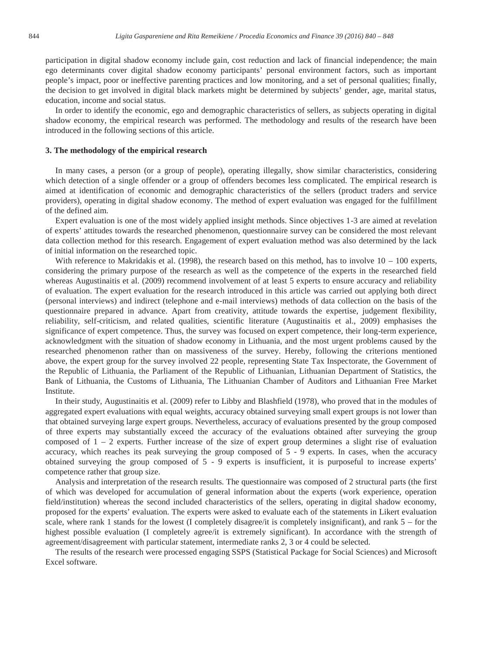participation in digital shadow economy include gain, cost reduction and lack of financial independence; the main ego determinants cover digital shadow economy participants' personal environment factors, such as important people's impact, poor or ineffective parenting practices and low monitoring, and a set of personal qualities; finally, the decision to get involved in digital black markets might be determined by subjects' gender, age, marital status, education, income and social status.

In order to identify the economic, ego and demographic characteristics of sellers, as subjects operating in digital shadow economy, the empirical research was performed. The methodology and results of the research have been introduced in the following sections of this article.

#### **3. The methodology of the empirical research**

In many cases, a person (or a group of people), operating illegally, show similar characteristics, considering which detection of a single offender or a group of offenders becomes less complicated. The empirical research is aimed at identification of economic and demographic characteristics of the sellers (product traders and service providers), operating in digital shadow economy. The method of expert evaluation was engaged for the fulfillment of the defined aim.

Expert evaluation is one of the most widely applied insight methods. Since objectives 1-3 are aimed at revelation of experts' attitudes towards the researched phenomenon, questionnaire survey can be considered the most relevant data collection method for this research. Engagement of expert evaluation method was also determined by the lack of initial information on the researched topic.

With reference to Makridakis et al. (1998), the research based on this method, has to involve  $10 - 100$  experts, considering the primary purpose of the research as well as the competence of the experts in the researched field whereas Augustinaitis et al. (2009) recommend involvement of at least 5 experts to ensure accuracy and reliability of evaluation. The expert evaluation for the research introduced in this article was carried out applying both direct (personal interviews) and indirect (telephone and e-mail interviews) methods of data collection on the basis of the questionnaire prepared in advance. Apart from creativity, attitude towards the expertise, judgement flexibility, reliability, self-criticism, and related qualities, scientific literature (Augustinaitis et al., 2009) emphasises the significance of expert competence. Thus, the survey was focused on expert competence, their long-term experience, acknowledgment with the situation of shadow economy in Lithuania, and the most urgent problems caused by the researched phenomenon rather than on massiveness of the survey. Hereby, following the criterions mentioned above, the expert group for the survey involved 22 people, representing State Tax Inspectorate, the Government of the Republic of Lithuania, the Parliament of the Republic of Lithuanian, Lithuanian Department of Statistics, the Bank of Lithuania, the Customs of Lithuania, The Lithuanian Chamber of Auditors and Lithuanian Free Market Institute.

In their study, Augustinaitis et al. (2009) refer to Libby and Blashfield (1978), who proved that in the modules of aggregated expert evaluations with equal weights, accuracy obtained surveying small expert groups is not lower than that obtained surveying large expert groups. Nevertheless, accuracy of evaluations presented by the group composed of three experts may substantially exceed the accuracy of the evaluations obtained after surveying the group composed of  $1 - 2$  experts. Further increase of the size of expert group determines a slight rise of evaluation accuracy, which reaches its peak surveying the group composed of 5 - 9 experts. In cases, when the accuracy obtained surveying the group composed of 5 - 9 experts is insufficient, it is purposeful to increase experts' competence rather that group size.

Analysis and interpretation of the research results. The questionnaire was composed of 2 structural parts (the first of which was developed for accumulation of general information about the experts (work experience, operation field/institution) whereas the second included characteristics of the sellers, operating in digital shadow economy, proposed for the experts' evaluation. The experts were asked to evaluate each of the statements in Likert evaluation scale, where rank 1 stands for the lowest (I completely disagree/it is completely insignificant), and rank  $5 -$  for the highest possible evaluation (I completely agree/it is extremely significant). In accordance with the strength of agreement/disagreement with particular statement, intermediate ranks 2, 3 or 4 could be selected.

The results of the research were processed engaging SSPS (Statistical Package for Social Sciences) and Microsoft Excel software.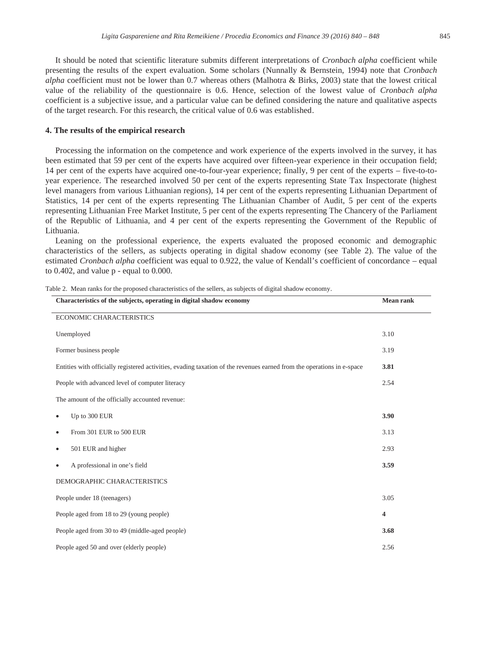It should be noted that scientific literature submits different interpretations of *Cronbach alpha* coefficient while presenting the results of the expert evaluation. Some scholars (Nunnally & Bernstein, 1994) note that *Cronbach alpha* coefficient must not be lower than 0.7 whereas others (Malhotra & Birks, 2003) state that the lowest critical value of the reliability of the questionnaire is 0.6. Hence, selection of the lowest value of *Cronbach alpha* coefficient is a subjective issue, and a particular value can be defined considering the nature and qualitative aspects of the target research. For this research, the critical value of 0.6 was established.

#### **4. The results of the empirical research**

Processing the information on the competence and work experience of the experts involved in the survey, it has been estimated that 59 per cent of the experts have acquired over fifteen-year experience in their occupation field; 14 per cent of the experts have acquired one-to-four-year experience; finally, 9 per cent of the experts – five-to-toyear experience. The researched involved 50 per cent of the experts representing State Tax Inspectorate (highest level managers from various Lithuanian regions), 14 per cent of the experts representing Lithuanian Department of Statistics, 14 per cent of the experts representing The Lithuanian Chamber of Audit, 5 per cent of the experts representing Lithuanian Free Market Institute, 5 per cent of the experts representing The Chancery of the Parliament of the Republic of Lithuania, and 4 per cent of the experts representing the Government of the Republic of Lithuania.

Leaning on the professional experience, the experts evaluated the proposed economic and demographic characteristics of the sellers, as subjects operating in digital shadow economy (see Table 2). The value of the estimated *Cronbach alpha* coefficient was equal to 0.922, the value of Kendall's coefficient of concordance – equal to 0.402, and value p - equal to 0.000.

| Characteristics of the subjects, operating in digital shadow economy                                                   |      |  |
|------------------------------------------------------------------------------------------------------------------------|------|--|
| ECONOMIC CHARACTERISTICS                                                                                               |      |  |
| Unemployed                                                                                                             | 3.10 |  |
| Former business people                                                                                                 | 3.19 |  |
| Entities with officially registered activities, evading taxation of the revenues earned from the operations in e-space | 3.81 |  |
| People with advanced level of computer literacy                                                                        | 2.54 |  |
| The amount of the officially accounted revenue:                                                                        |      |  |
| Up to 300 EUR<br>٠                                                                                                     | 3.90 |  |
| From 301 EUR to 500 EUR<br>٠                                                                                           | 3.13 |  |
| 501 EUR and higher<br>$\bullet$                                                                                        | 2.93 |  |
| A professional in one's field<br>٠                                                                                     | 3.59 |  |
| DEMOGRAPHIC CHARACTERISTICS                                                                                            |      |  |
| People under 18 (teenagers)                                                                                            | 3.05 |  |
| People aged from 18 to 29 (young people)                                                                               | 4    |  |
| People aged from 30 to 49 (middle-aged people)                                                                         | 3.68 |  |
| People aged 50 and over (elderly people)                                                                               | 2.56 |  |

Table 2. Mean ranks for the proposed characteristics of the sellers, as subjects of digital shadow economy.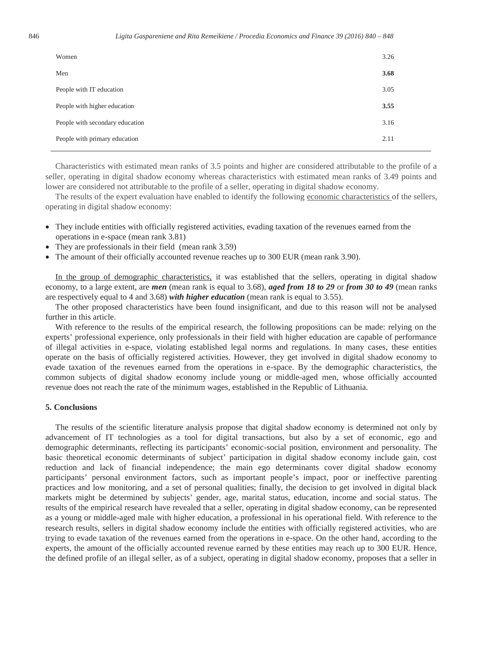| Women                           | 3.26 |
|---------------------------------|------|
| Men                             | 3.68 |
| People with IT education        | 3.05 |
| People with higher education    | 3.55 |
| People with secondary education | 3.16 |
| People with primary education   | 2.11 |

Characteristics with estimated mean ranks of 3.5 points and higher are considered attributable to the profile of a seller, operating in digital shadow economy whereas characteristics with estimated mean ranks of 3.49 points and lower are considered not attributable to the profile of a seller, operating in digital shadow economy.

The results of the expert evaluation have enabled to identify the following economic characteristics of the sellers, operating in digital shadow economy:

- They include entities with officially registered activities, evading taxation of the revenues earned from the operations in e-space (mean rank 3.81)
- $\bullet$  They are professionals in their field (mean rank 3.59)
- The amount of their officially accounted revenue reaches up to 300 EUR (mean rank 3.90).

In the group of demographic characteristics, it was established that the sellers, operating in digital shadow economy, to a large extent, are *men* (mean rank is equal to 3.68), *aged from 18 to 29* or *from 30 to 49* (mean ranks are respectively equal to 4 and 3.68) *with higher education* (mean rank is equal to 3.55).

The other proposed characteristics have been found insignificant, and due to this reason will not be analysed further in this article.

With reference to the results of the empirical research, the following propositions can be made: relying on the experts' professional experience, only professionals in their field with higher education are capable of performance of illegal activities in e-space, violating established legal norms and regulations. In many cases, these entities operate on the basis of officially registered activities. However, they get involved in digital shadow economy to evade taxation of the revenues earned from the operations in e-space. By the demographic characteristics, the common subjects of digital shadow economy include young or middle-aged men, whose officially accounted revenue does not reach the rate of the minimum wages, established in the Republic of Lithuania.

#### **5. Conclusions**

The results of the scientific literature analysis propose that digital shadow economy is determined not only by advancement of IT technologies as a tool for digital transactions, but also by a set of economic, ego and demographic determinants, reflecting its participants' economic-social position, environment and personality. The basic theoretical economic determinants of subject' participation in digital shadow economy include gain, cost reduction and lack of financial independence; the main ego determinants cover digital shadow economy participants' personal environment factors, such as important people's impact, poor or ineffective parenting practices and low monitoring, and a set of personal qualities; finally, the decision to get involved in digital black markets might be determined by subjects' gender, age, marital status, education, income and social status. The results of the empirical research have revealed that a seller, operating in digital shadow economy, can be represented as a young or middle-aged male with higher education, a professional in his operational field. With reference to the research results, sellers in digital shadow economy include the entities with officially registered activities, who are trying to evade taxation of the revenues earned from the operations in e-space. On the other hand, according to the experts, the amount of the officially accounted revenue earned by these entities may reach up to 300 EUR. Hence, the defined profile of an illegal seller, as of a subject, operating in digital shadow economy, proposes that a seller in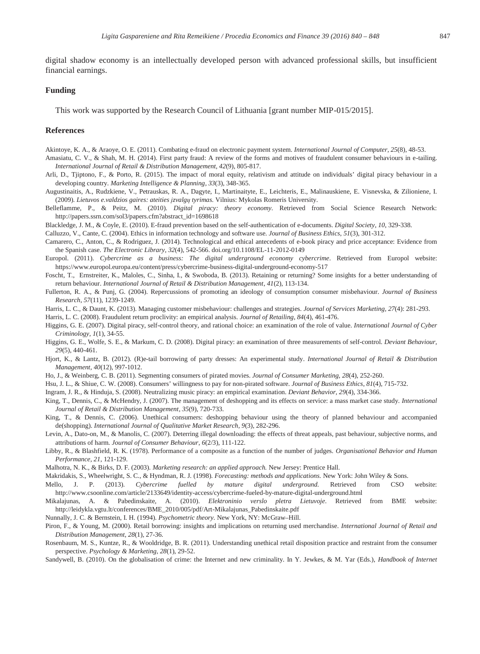#### **Funding**

financial earnings.

This work was supported by the Research Council of Lithuania [grant number MIP-015/2015].

#### **References**

Akintoye, K. A., & Araoye, O. E. (2011). Combating e-fraud on electronic payment system. *International Journal of Computer, 25*(8), 48-53.

- Amasiatu, C. V., & Shah, M. H. (2014). First party fraud: A review of the forms and motives of fraudulent consumer behaviours in e-tailing. *International Journal of Retail & Distribution Management, 42*(9), 805-817.
- Arli, D., Tjiptono, F., & Porto, R. (2015). The impact of moral equity, relativism and attitude on individuals' digital piracy behaviour in a developing country. *Marketing Intelligence & Planning, 33*(3), 348-365.
- Augustinaitis, A., Rudzkiene, V., Petrauskas, R. A., Dagyte, I., Martinaityte, E., Leichteris, E., Malinauskiene, E. Visnevska, & Zilioniene, I. (2009). *Lietuvos e.valdzios gaires: ateities Ƴzvalgǐ tyrimas.* Vilnius: Mykolas Romeris University.
- Belleflamme, P., & Peitz, M. (2010). *Digital piracy: theory economy.* Retrieved from Social Science Research Network: http://papers.ssrn.com/sol3/papers.cfm?abstract\_id=1698618
- Blackledge, J. M., & Coyle, E. (2010). E-fraud prevention based on the self-authentication of e-documents. *Digital Society*, *10*, 329-338.

Calluzzo, V., Cante, C. (2004). Ethics in information technology and software use. *Journal of Business Ethics, 51*(3), 301-312.

- Camarero, C., Anton, C., & Rodriguez, J. (2014). Technological and ethical antecedents of e-book piracy and price acceptance: Evidence from the Spanish case. *The Electronic Library, 32*(4), 542-566. doi.org/10.1108/EL-11-2012-0149
- Europol. (2011). *Cybercrime as a business: The digital underground economy cybercrime*. Retrieved from Europol website: https://www.europol.europa.eu/content/press/cybercrime-business-digital-underground-economy-517
- Foscht, T., Ernstreiter, K., Maloles, C., Sinha, I., & Swoboda, B. (2013). Retaining or returning? Some insights for a better understanding of return behaviour. *International Journal of Retail & Distribution Management*, *41*(2), 113-134.
- Fullerton, R. A., & Punj, G. (2004). Repercussions of promoting an ideology of consumption consumer misbehaviour. *Journal of Business Research*, *57*(11), 1239-1249.
- Harris, L. C., & Daunt, K. (2013). Managing customer misbehaviour: challenges and strategies. *Journal of Services Marketing, 27*(4): 281-293.

Harris, L. C. (2008). Fraudulent return proclivity: an empirical analysis. *Journal of Retailing*, *84*(4), 461-476.

Higgins, G. E. (2007). Digital piracy, self-control theory, and rational choice: an examination of the role of value. *International Journal of Cyber Criminology, 1*(1), 34-55.

- Higgins, G. E., Wolfe, S. E., & Markum, C. D. (2008). Digital piracy: an examination of three measurements of self-control. *Deviant Behaviour, 29*(5), 440-461.
- Hjort, K., & Lantz, B. (2012). (R)e-tail borrowing of party dresses: An experimental study. *International Journal of Retail & Distribution Management, 40*(12), 997-1012.
- Ho, J., & Weinberg, C. B. (2011). Segmenting consumers of pirated movies. *Journal of Consumer Marketing, 28*(4), 252-260.

Hsu, J. L., & Shiue, C. W. (2008). Consumers' willingness to pay for non-pirated software. *Journal of Business Ethics*, *81*(4), 715-732.

- Ingram, J. R., & Hinduja, S. (2008). Neutralizing music piracy: an empirical examination. *Deviant Behavior, 29*(4), 334-366.
- King, T., Dennis, C., & McHendry, J. (2007). The management of deshopping and its effects on service: a mass market case study. *International Journal of Retail & Distribution Management*, *35*(9), 720-733.
- King, T., & Dennis, C. (2006). Unethical consumers: deshopping behaviour using the theory of planned behaviour and accompanied de(shopping). *International Journal of Qualitative Market Research*, *9*(3), 282-296.
- Levin, A., Dato-on, M., & Manolis, C. (2007). Deterring illegal downloading: the effects of threat appeals, past behaviour, subjective norms, and attributions of harm*. Journal of Consumer Behaviour*, *6*(2/3), 111-122.
- Libby, R., & Blashfield, R. K. (1978). Performance of a composite as a function of the number of judges. *Organisational Behavior and Human Performance, 21*, 121-129.

Malhotra, N. K., & Birks, D. F. (2003). *Marketing research: an applied approach.* New Jersey: Prentice Hall.

- Makridakis, S., Wheelwright, S. C., & Hyndman, R. J. (1998). *Forecasting: methods and applications.* New York: John Wiley & Sons.
- Mello, J. P. (2013). *Cybercrime fuelled by mature digital underground.* Retrieved from CSO website: http://www.csoonline.com/article/2133649/identity-access/cybercrime-fueled-by-mature-digital-underground.html
- Mikalajunas, A. & Pabedinskaite, A. (2010). *Elektroninio verslo pletra Lietuvoje*. Retrieved from BME website: http://leidykla.vgtu.lt/conferences/BME\_2010/005/pdf/Art-Mikalajunas\_Pabedinskaite.pdf

Nunnally, J. C. & Bernstein, I. H. (1994). *Psychometric theory.* New York, NY: McGraw–Hill.

- Piron, F., & Young, M. (2000). Retail borrowing: insights and implications on returning used merchandise*. International Journal of Retail and Distribution Management*, *28*(1), 27-36.
- Rosenbaum, M. S., Kuntze, R., & Wooldridge, B. R. (2011). Understanding unethical retail disposition practice and restraint from the consumer perspective. *Psychology & Marketing*, *28*(1), 29-52.

Sandywell, B. (2010). On the globalisation of crime: the Internet and new criminality. In Y. Jewkes, & M. Yar (Eds.), *Handbook of Internet*